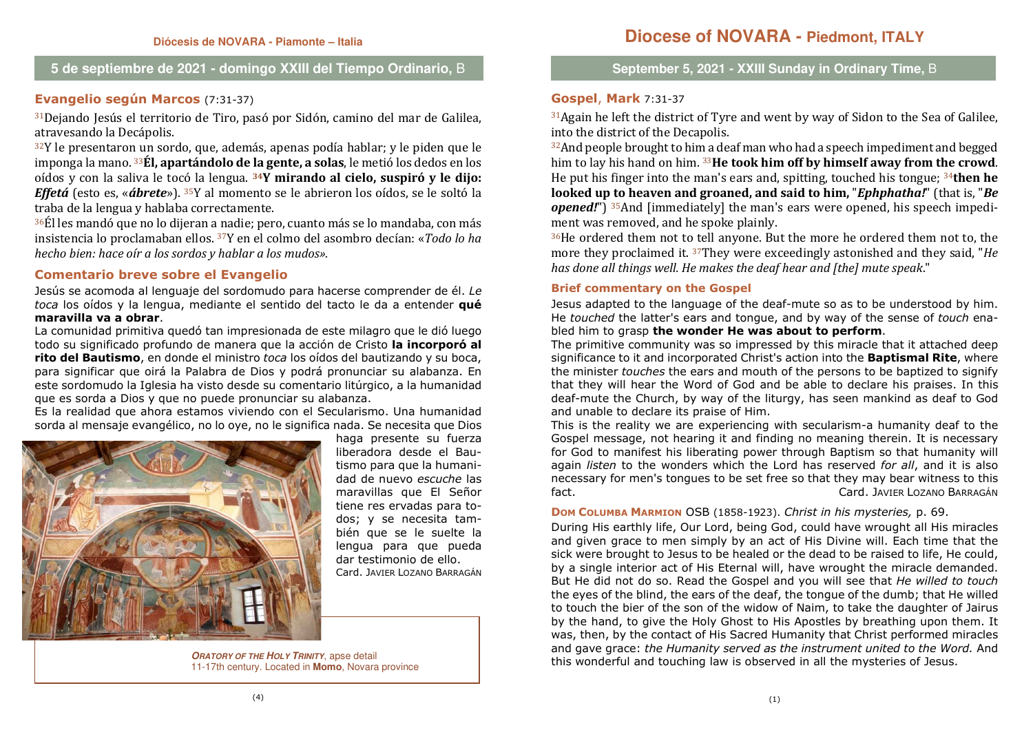# **5 de septiembre de 2021 - domingo XXIII del Tiempo Ordinario,** B

# **Evangelio según Marcos** (7:31-37)

31Dejando Jesús el territorio de Tiro, pasó por Sidón, camino del mar de Galilea, atravesando la Decápolis.

 $32Y$  le presentaron un sordo, que, además, apenas podía hablar; y le piden que le imponga la mano. 33**Él, apartándolo de la gente, a solas**, le metió los dedos en los oídos y con la saliva le tocó la lengua. **34Y mirando al cielo, suspiró y le dijo:** *Effetá* (esto es, «*ábrete*»). 35Y al momento se le abrieron los oídos, se le soltó la traba de la lengua y hablaba correctamente.

<sup>36</sup>Él les mandó que no lo dijeran a nadie; pero, cuanto más se lo mandaba, con más insistencia lo proclamaban ellos. 37Y en el colmo del asombro decían: «*Todo lo ha hecho bien: hace oír a los sordos y hablar a los mudos».*

## **Comentario breve sobre el Evangelio**

 Jesús se acomoda al lenguaje del sordomudo para hacerse comprender de él. *Le toca* los oídos y la lengua, mediante el sentido del tacto le da a entender **qué maravilla va a obrar**.

 La comunidad primitiva quedó tan impresionada de este milagro que le dió luego todo su significado profundo de manera que la acción de Cristo **la incorporó al rito del Bautismo**, en donde el ministro *toca* los oídos del bautizando y su boca, para significar que oirá la Palabra de Dios y podrá pronunciar su alabanza. En este sordomudo la Iglesia ha visto desde su comentario litúrgico, a la humanidad que es sorda a Dios y que no puede pronunciar su alabanza.

 Es la realidad que ahora estamos viviendo con el Secularismo. Una humanidad sorda al mensaje evangélico, no lo oye, no le significa nada. Se necesita que Dios



 haga presente su fuerza liberadora desde el Bautismo para que la humanidad de nuevo *escuche* las maravillas que El Señor tiene res ervadas para todos; y se necesita también que se le suelte la lengua para que pueda dar testimonio de ello. Card. JAVIER LOZANO BARRAGÁN

**ORATORY OF THE HOLY TRINITY**, apse detail 11-17th century. Located in **Momo**, Novara province **September 5, 2021 - XXIII Sunday in Ordinary Time,** B

# **Gospel**, **Mark** 7:31-37

 $31$ Again he left the district of Tyre and went by way of Sidon to the Sea of Galilee, into the district of the Decapolis.

 $32$ And people brought to him a deaf man who had a speech impediment and begged him to lay his hand on him. 33**He took him off by himself away from the crowd**. He put his finger into the man's ears and, spitting, touched his tongue; 34**then he looked up to heaven and groaned, and said to him,** "*Ephphatha!*" (that is, "*Be opened!*") 35And [immediately] the man's ears were opened, his speech impediment was removed, and he spoke plainly.

36He ordered them not to tell anyone. But the more he ordered them not to, the more they proclaimed it. 37They were exceedingly astonished and they said, "*He has done all things well. He makes the deaf hear and [the] mute speak*."

#### **Brief commentary on the Gospel**

Jesus adapted to the language of the deaf-mute so as to be understood by him. He *touched* the latter's ears and tongue, and by way of the sense of *touch* enabled him to grasp **the wonder He was about to perform**.

 The primitive community was so impressed by this miracle that it attached deep significance to it and incorporated Christ's action into the **Baptismal Rite**, where the minister *touches* the ears and mouth of the persons to be baptized to signify that they will hear the Word of God and be able to declare his praises. In this deaf-mute the Church, by way of the liturgy, has seen mankind as deaf to God and unable to declare its praise of Him.

 This is the reality we are experiencing with secularism-a humanity deaf to the Gospel message, not hearing it and finding no meaning therein. It is necessary for God to manifest his liberating power through Baptism so that humanity will again *listen* to the wonders which the Lord has reserved *for all*, and it is also necessary for men's tongues to be set free so that they may bear witness to this fact. Card. JAVIER LOZANO BARRAGÁN

### **DOM COLUMBA MARMION** OSB (1858-1923). *Christ in his mysteries,* p. 69.

 During His earthly life, Our Lord, being God, could have wrought all His miracles and given grace to men simply by an act of His Divine will. Each time that the sick were brought to Jesus to be healed or the dead to be raised to life, He could, by a single interior act of His Eternal will, have wrought the miracle demanded. But He did not do so. Read the Gospel and you will see that *He willed to touch* the eyes of the blind, the ears of the deaf, the tongue of the dumb; that He willed to touch the bier of the son of the widow of Naim, to take the daughter of Jairus by the hand, to give the Holy Ghost to His Apostles by breathing upon them. It was, then, by the contact of His Sacred Humanity that Christ performed miracles and gave grace: *the Humanity served as the instrument united to the Word.* And this wonderful and touching law is observed in all the mysteries of Jesus.